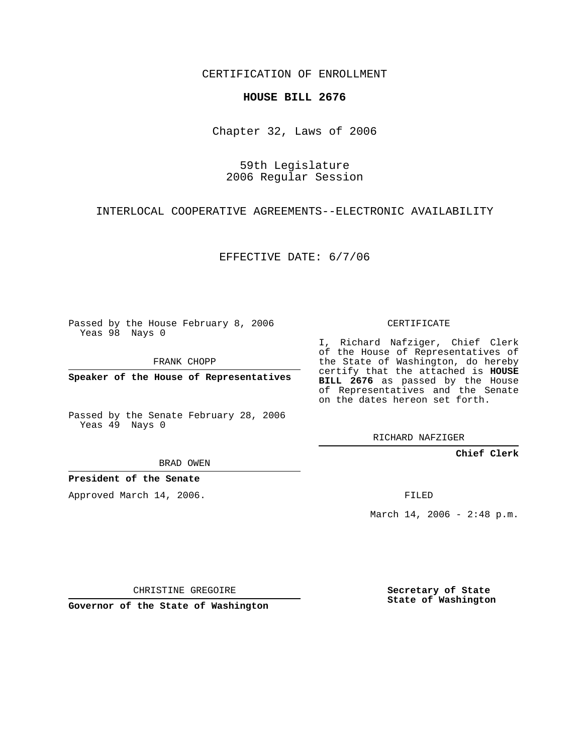CERTIFICATION OF ENROLLMENT

## **HOUSE BILL 2676**

Chapter 32, Laws of 2006

59th Legislature 2006 Regular Session

INTERLOCAL COOPERATIVE AGREEMENTS--ELECTRONIC AVAILABILITY

EFFECTIVE DATE: 6/7/06

Passed by the House February 8, 2006 Yeas 98 Nays 0

FRANK CHOPP

**Speaker of the House of Representatives**

Passed by the Senate February 28, 2006 Yeas 49 Nays 0

I, Richard Nafziger, Chief Clerk of the House of Representatives of the State of Washington, do hereby certify that the attached is **HOUSE BILL 2676** as passed by the House of Representatives and the Senate on the dates hereon set forth.

CERTIFICATE

RICHARD NAFZIGER

**Chief Clerk**

BRAD OWEN

**President of the Senate**

Approved March 14, 2006.

FILED

March 14, 2006 - 2:48 p.m.

CHRISTINE GREGOIRE

**Governor of the State of Washington**

**Secretary of State State of Washington**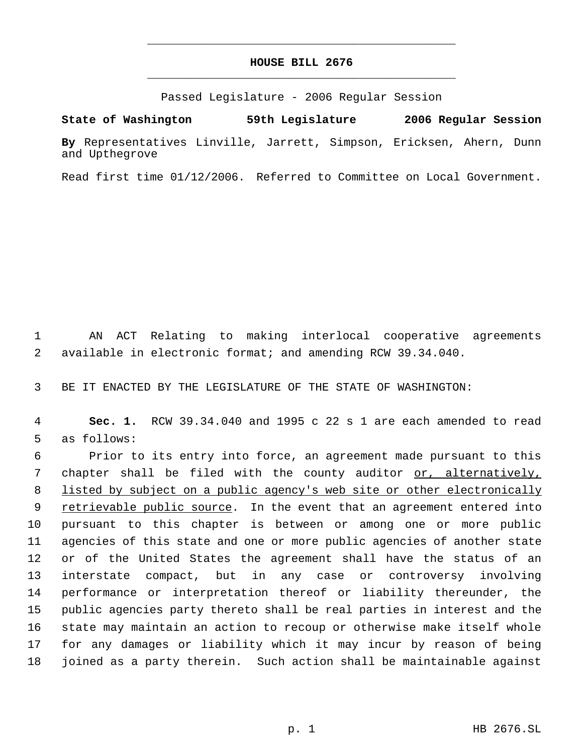## **HOUSE BILL 2676** \_\_\_\_\_\_\_\_\_\_\_\_\_\_\_\_\_\_\_\_\_\_\_\_\_\_\_\_\_\_\_\_\_\_\_\_\_\_\_\_\_\_\_\_\_

\_\_\_\_\_\_\_\_\_\_\_\_\_\_\_\_\_\_\_\_\_\_\_\_\_\_\_\_\_\_\_\_\_\_\_\_\_\_\_\_\_\_\_\_\_

Passed Legislature - 2006 Regular Session

**State of Washington 59th Legislature 2006 Regular Session By** Representatives Linville, Jarrett, Simpson, Ericksen, Ahern, Dunn and Upthegrove

Read first time 01/12/2006. Referred to Committee on Local Government.

 1 AN ACT Relating to making interlocal cooperative agreements 2 available in electronic format; and amending RCW 39.34.040.

3 BE IT ENACTED BY THE LEGISLATURE OF THE STATE OF WASHINGTON:

 4 **Sec. 1.** RCW 39.34.040 and 1995 c 22 s 1 are each amended to read 5 as follows:

 Prior to its entry into force, an agreement made pursuant to this chapter shall be filed with the county auditor or, alternatively, 8 listed by subject on a public agency's web site or other electronically 9 retrievable public source. In the event that an agreement entered into pursuant to this chapter is between or among one or more public agencies of this state and one or more public agencies of another state or of the United States the agreement shall have the status of an interstate compact, but in any case or controversy involving performance or interpretation thereof or liability thereunder, the public agencies party thereto shall be real parties in interest and the state may maintain an action to recoup or otherwise make itself whole for any damages or liability which it may incur by reason of being joined as a party therein. Such action shall be maintainable against